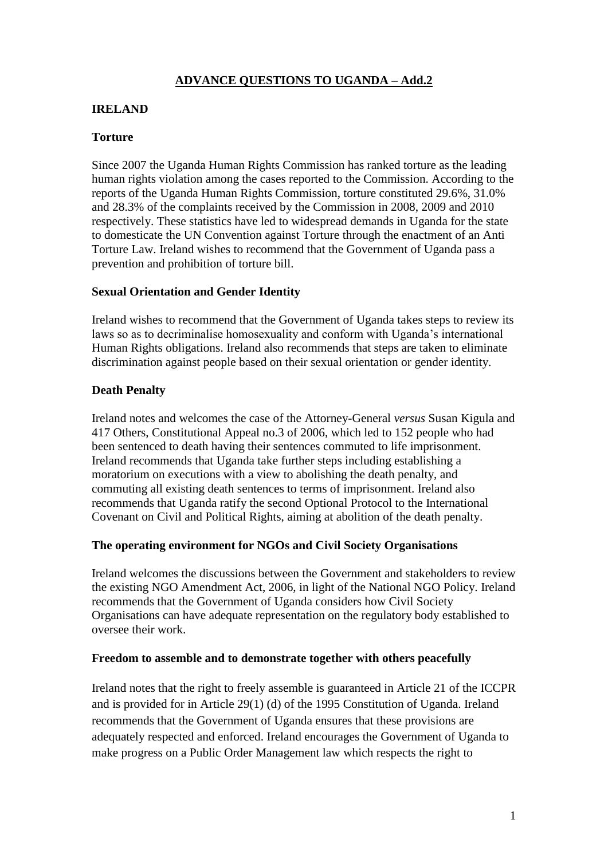# **ADVANCE QUESTIONS TO UGANDA – Add.2**

#### **IRELAND**

## **Torture**

Since 2007 the Uganda Human Rights Commission has ranked torture as the leading human rights violation among the cases reported to the Commission. According to the reports of the Uganda Human Rights Commission, torture constituted 29.6%, 31.0% and 28.3% of the complaints received by the Commission in 2008, 2009 and 2010 respectively. These statistics have led to widespread demands in Uganda for the state to domesticate the UN Convention against Torture through the enactment of an Anti Torture Law. Ireland wishes to recommend that the Government of Uganda pass a prevention and prohibition of torture bill.

## **Sexual Orientation and Gender Identity**

Ireland wishes to recommend that the Government of Uganda takes steps to review its laws so as to decriminalise homosexuality and conform with Uganda"s international Human Rights obligations. Ireland also recommends that steps are taken to eliminate discrimination against people based on their sexual orientation or gender identity.

## **Death Penalty**

Ireland notes and welcomes the case of the Attorney-General *versus* Susan Kigula and 417 Others, Constitutional Appeal no.3 of 2006, which led to 152 people who had been sentenced to death having their sentences commuted to life imprisonment. Ireland recommends that Uganda take further steps including establishing a moratorium on executions with a view to abolishing the death penalty, and commuting all existing death sentences to terms of imprisonment. Ireland also recommends that Uganda ratify the second Optional Protocol to the International Covenant on Civil and Political Rights, aiming at abolition of the death penalty.

#### **The operating environment for NGOs and Civil Society Organisations**

Ireland welcomes the discussions between the Government and stakeholders to review the existing NGO Amendment Act, 2006, in light of the National NGO Policy. Ireland recommends that the Government of Uganda considers how Civil Society Organisations can have adequate representation on the regulatory body established to oversee their work.

#### **Freedom to assemble and to demonstrate together with others peacefully**

Ireland notes that the right to freely assemble is guaranteed in Article 21 of the ICCPR and is provided for in Article 29(1) (d) of the 1995 Constitution of Uganda. Ireland recommends that the Government of Uganda ensures that these provisions are adequately respected and enforced. Ireland encourages the Government of Uganda to make progress on a Public Order Management law which respects the right to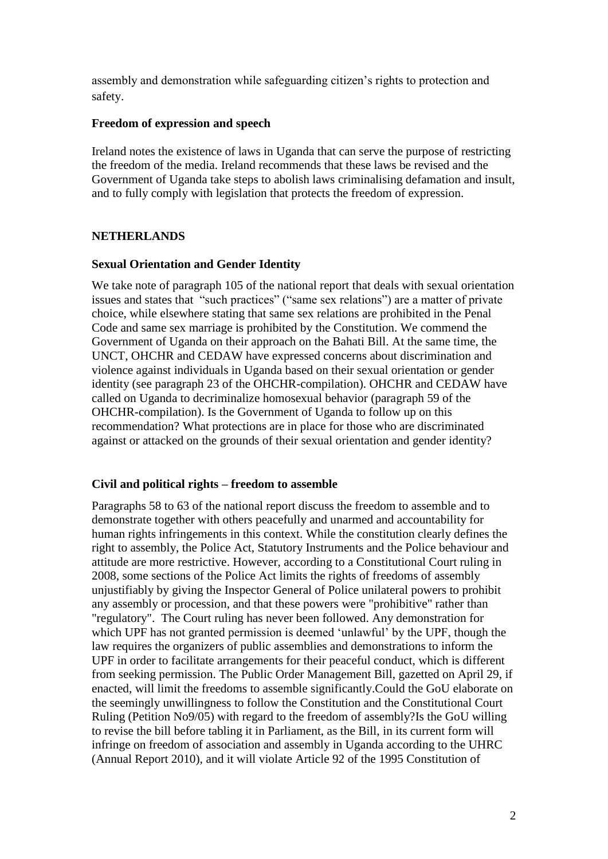assembly and demonstration while safeguarding citizen"s rights to protection and safety.

#### **Freedom of expression and speech**

Ireland notes the existence of laws in Uganda that can serve the purpose of restricting the freedom of the media. Ireland recommends that these laws be revised and the Government of Uganda take steps to abolish laws criminalising defamation and insult, and to fully comply with legislation that protects the freedom of expression.

## **NETHERLANDS**

## **Sexual Orientation and Gender Identity**

We take note of paragraph 105 of the national report that deals with sexual orientation issues and states that "such practices" ("same sex relations") are a matter of private choice, while elsewhere stating that same sex relations are prohibited in the Penal Code and same sex marriage is prohibited by the Constitution. We commend the Government of Uganda on their approach on the Bahati Bill. At the same time, the UNCT, OHCHR and CEDAW have expressed concerns about discrimination and violence against individuals in Uganda based on their sexual orientation or gender identity (see paragraph 23 of the OHCHR-compilation). OHCHR and CEDAW have called on Uganda to decriminalize homosexual behavior (paragraph 59 of the OHCHR-compilation). Is the Government of Uganda to follow up on this recommendation? What protections are in place for those who are discriminated against or attacked on the grounds of their sexual orientation and gender identity?

## **Civil and political rights – freedom to assemble**

Paragraphs 58 to 63 of the national report discuss the freedom to assemble and to demonstrate together with others peacefully and unarmed and accountability for human rights infringements in this context. While the constitution clearly defines the right to assembly, the Police Act, Statutory Instruments and the Police behaviour and attitude are more restrictive. However, according to a Constitutional Court ruling in 2008, some sections of the Police Act limits the rights of freedoms of assembly unjustifiably by giving the Inspector General of Police unilateral powers to prohibit any assembly or procession, and that these powers were "prohibitive" rather than "regulatory". The Court ruling has never been followed. Any demonstration for which UPF has not granted permission is deemed 'unlawful' by the UPF, though the law requires the organizers of public assemblies and demonstrations to inform the UPF in order to facilitate arrangements for their peaceful conduct, which is different from seeking permission. The Public Order Management Bill, gazetted on April 29, if enacted, will limit the freedoms to assemble significantly.Could the GoU elaborate on the seemingly unwillingness to follow the Constitution and the Constitutional Court Ruling (Petition No9/05) with regard to the freedom of assembly?Is the GoU willing to revise the bill before tabling it in Parliament, as the Bill, in its current form will infringe on freedom of association and assembly in Uganda according to the UHRC (Annual Report 2010), and it will violate Article 92 of the 1995 Constitution of